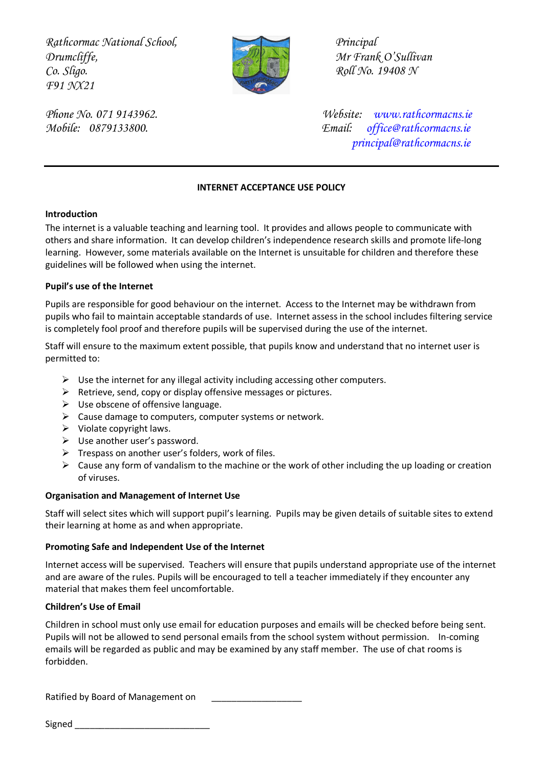*Rathcormac National School, Principal Drumcliffe,* Mr Frank O'Sullivan *Co. Sligo. Roll No. 19408 N F91 NX21* 



*Phone No. 071 9143962. Website: [www.rathcormacns.ie](http://www.rathcormacns.ie/)  Mobile: 0879133800. Email: [office@rathcormacns.ie](mailto:office@rathcormacns.ie) [principal@rathcormacns.ie](mailto:principal@rathcormacns.ie)*

### **INTERNET ACCEPTANCE USE POLICY**

#### **Introduction**

The internet is a valuable teaching and learning tool. It provides and allows people to communicate with others and share information. It can develop children's independence research skills and promote life-long learning. However, some materials available on the Internet is unsuitable for children and therefore these guidelines will be followed when using the internet.

#### **Pupil's use of the Internet**

Pupils are responsible for good behaviour on the internet. Access to the Internet may be withdrawn from pupils who fail to maintain acceptable standards of use. Internet assess in the school includes filtering service is completely fool proof and therefore pupils will be supervised during the use of the internet.

Staff will ensure to the maximum extent possible, that pupils know and understand that no internet user is permitted to:

- $\triangleright$  Use the internet for any illegal activity including accessing other computers.
- $\triangleright$  Retrieve, send, copy or display offensive messages or pictures.
- $\triangleright$  Use obscene of offensive language.
- $\triangleright$  Cause damage to computers, computer systems or network.
- $\triangleright$  Violate copyright laws.
- $\triangleright$  Use another user's password.
- $\triangleright$  Trespass on another user's folders, work of files.
- $\triangleright$  Cause any form of vandalism to the machine or the work of other including the up loading or creation of viruses.

#### **Organisation and Management of Internet Use**

Staff will select sites which will support pupil's learning. Pupils may be given details of suitable sites to extend their learning at home as and when appropriate.

#### **Promoting Safe and Independent Use of the Internet**

Internet access will be supervised. Teachers will ensure that pupils understand appropriate use of the internet and are aware of the rules. Pupils will be encouraged to tell a teacher immediately if they encounter any material that makes them feel uncomfortable.

#### **Children's Use of Email**

Children in school must only use email for education purposes and emails will be checked before being sent. Pupils will not be allowed to send personal emails from the school system without permission. In-coming emails will be regarded as public and may be examined by any staff member. The use of chat rooms is forbidden.

Ratified by Board of Management on

 $Signed$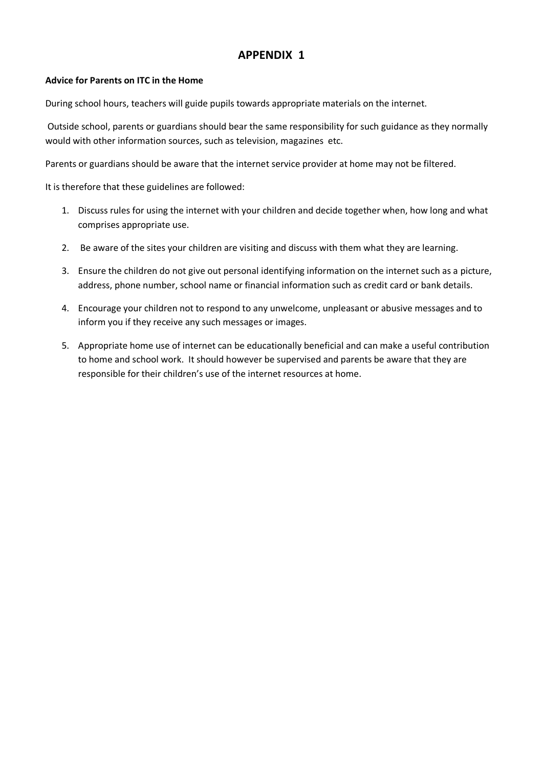## **APPENDIX 1**

#### **Advice for Parents on ITC in the Home**

During school hours, teachers will guide pupils towards appropriate materials on the internet.

Outside school, parents or guardians should bear the same responsibility for such guidance as they normally would with other information sources, such as television, magazines etc.

Parents or guardians should be aware that the internet service provider at home may not be filtered.

It is therefore that these guidelines are followed:

- 1. Discuss rules for using the internet with your children and decide together when, how long and what comprises appropriate use.
- 2. Be aware of the sites your children are visiting and discuss with them what they are learning.
- 3. Ensure the children do not give out personal identifying information on the internet such as a picture, address, phone number, school name or financial information such as credit card or bank details.
- 4. Encourage your children not to respond to any unwelcome, unpleasant or abusive messages and to inform you if they receive any such messages or images.
- 5. Appropriate home use of internet can be educationally beneficial and can make a useful contribution to home and school work. It should however be supervised and parents be aware that they are responsible for their children's use of the internet resources at home.